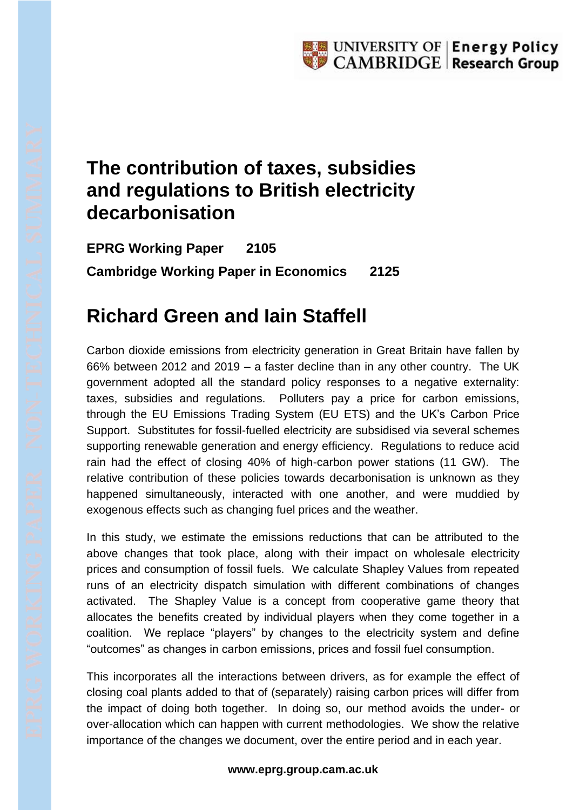## **The contribution of taxes, subsidies and regulations to British electricity decarbonisation**

**EPRG Working Paper 2105 Cambridge Working Paper in Economics 2125**

## **Richard Green and Iain Staffell**

Carbon dioxide emissions from electricity generation in Great Britain have fallen by 66% between 2012 and 2019 – a faster decline than in any other country. The UK government adopted all the standard policy responses to a negative externality: taxes, subsidies and regulations. Polluters pay a price for carbon emissions, through the EU Emissions Trading System (EU ETS) and the UK's Carbon Price Support. Substitutes for fossil-fuelled electricity are subsidised via several schemes supporting renewable generation and energy efficiency. Regulations to reduce acid rain had the effect of closing 40% of high-carbon power stations (11 GW). The relative contribution of these policies towards decarbonisation is unknown as they happened simultaneously, interacted with one another, and were muddied by exogenous effects such as changing fuel prices and the weather.

In this study, we estimate the emissions reductions that can be attributed to the above changes that took place, along with their impact on wholesale electricity prices and consumption of fossil fuels. We calculate Shapley Values from repeated runs of an electricity dispatch simulation with different combinations of changes activated. The Shapley Value is a concept from cooperative game theory that allocates the benefits created by individual players when they come together in a coalition. We replace "players" by changes to the electricity system and define "outcomes" as changes in carbon emissions, prices and fossil fuel consumption.

This incorporates all the interactions between drivers, as for example the effect of closing coal plants added to that of (separately) raising carbon prices will differ from the impact of doing both together. In doing so, our method avoids the under- or over-allocation which can happen with current methodologies. We show the relative importance of the changes we document, over the entire period and in each year.

## **www.eprg.group.cam.ac.uk**